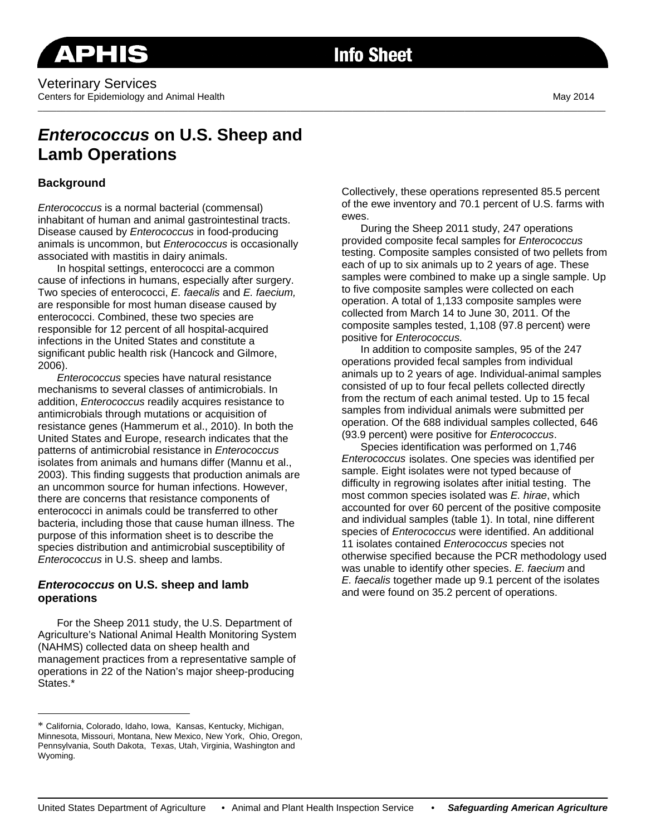# **Info Sheet**

# *Enterococcus* **on U.S. Sheep and Lamb Operations**

# **Background**

*Enterococcus* is a normal bacterial (commensal) inhabitant of human and animal gastrointestinal tracts. Disease caused by *Enterococcus* in food-producing animals is uncommon, but *Enterococcus* is occasionally associated with mastitis in dairy animals.

In hospital settings, enterococci are a common cause of infections in humans, especially after surgery. Two species of enterococci, *E. faecalis* and *E. faecium,*  are responsible for most human disease caused by enterococci. Combined, these two species are responsible for 12 percent of all hospital-acquired infections in the United States and constitute a significant public health risk (Hancock and Gilmore, 2006).

*Enterococcus* species have natural resistance mechanisms to several classes of antimicrobials. In addition, *Enterococcus* readily acquires resistance to antimicrobials through mutations or acquisition of resistance genes (Hammerum et al., 2010). In both the United States and Europe, research indicates that the patterns of antimicrobial resistance in *Enterococcus*  isolates from animals and humans differ (Mannu et al., 2003). This finding suggests that production animals are an uncommon source for human infections. However, there are concerns that resistance components of enterococci in animals could be transferred to other bacteria, including those that cause human illness. The purpose of this information sheet is to describe the species distribution and antimicrobial susceptibility of *Enterococcus* in U.S. sheep and lambs.

#### *Enterococcus* **on U.S. sheep and lamb operations**

 $\overline{a}$ 

For the Sheep 2011 study, the U.S. Department of Agriculture's National Animal Health Monitoring System (NAHMS) collected data on sheep health and management practices from a representative sample of operations in 22 of the Nation's major sheep-producing States.\*

Collectively, these operations represented 85.5 percent of the ewe inventory and 70.1 percent of U.S. farms with ewes.

During the Sheep 2011 study, 247 operations provided composite fecal samples for *Enterococcus* testing. Composite samples consisted of two pellets from each of up to six animals up to 2 years of age. These samples were combined to make up a single sample. Up to five composite samples were collected on each operation. A total of 1,133 composite samples were collected from March 14 to June 30, 2011. Of the composite samples tested, 1,108 (97.8 percent) were positive for *Enterococcus.*

In addition to composite samples, 95 of the 247 operations provided fecal samples from individual animals up to 2 years of age. Individual-animal samples consisted of up to four fecal pellets collected directly from the rectum of each animal tested. Up to 15 fecal samples from individual animals were submitted per operation. Of the 688 individual samples collected, 646 (93.9 percent) were positive for *Enterococcus*.

Species identification was performed on 1,746 *Enterococcus* isolates. One species was identified per sample. Eight isolates were not typed because of difficulty in regrowing isolates after initial testing. The most common species isolated was *E. hirae*, which accounted for over 60 percent of the positive composite and individual samples (table 1). In total, nine different species of *Enterococcus* were identified. An additional 11 isolates contained *Enterococcus* species not otherwise specified because the PCR methodology used was unable to identify other species. *E. faecium* and *E. faecalis* together made up 9.1 percent of the isolates and were found on 35.2 percent of operations.

<sup>\*</sup> California, Colorado, Idaho, Iowa, Kansas, Kentucky, Michigan, Minnesota, Missouri, Montana, New Mexico, New York, Ohio, Oregon, Pennsylvania, South Dakota, Texas, Utah, Virginia, Washington and Wyoming.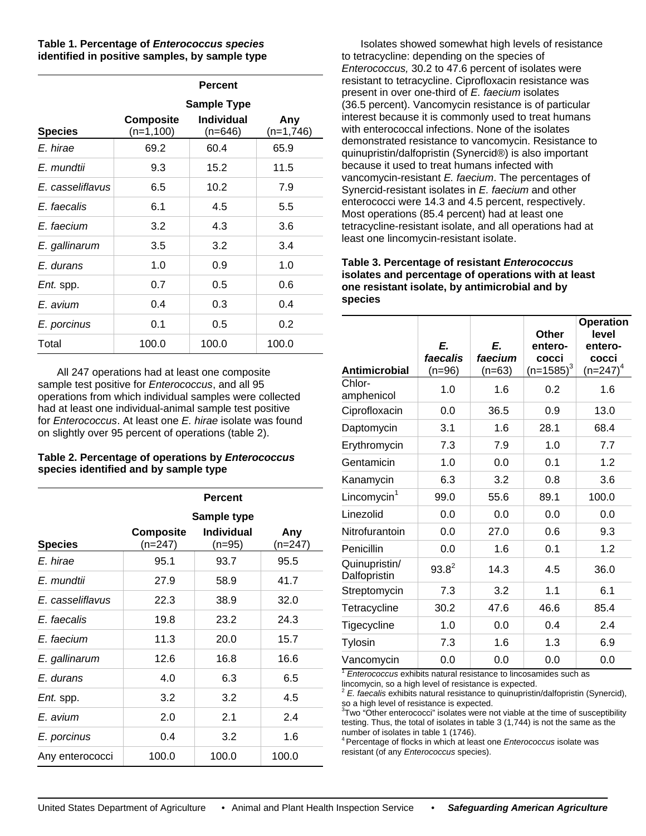**Table 1. Percentage of** *Enterococcus species* **identified in positive samples, by sample type** 

|                  | <b>Percent</b>                |                                |                    |  |  |  |
|------------------|-------------------------------|--------------------------------|--------------------|--|--|--|
|                  | <b>Sample Type</b>            |                                |                    |  |  |  |
| <b>Species</b>   | <b>Composite</b><br>(n=1,100) | <b>Individual</b><br>$(n=646)$ | Any<br>$(n=1,746)$ |  |  |  |
| E. hirae         | 69.2                          | 60.4                           | 65.9               |  |  |  |
| E. mundtii       | 9.3                           | 15.2                           | 11.5               |  |  |  |
| E. casseliflavus | 6.5                           | 10.2                           | 7.9                |  |  |  |
| E. faecalis      | 6.1                           | 4.5                            | 5.5                |  |  |  |
| E. faecium       | 3.2                           | 4.3                            | 3.6                |  |  |  |
| E. gallinarum    | 3.5                           | 3.2                            | 3.4                |  |  |  |
| E. durans        | 1.0                           | 0.9                            | 1.0                |  |  |  |
| <i>Ent.</i> spp. | 0.7                           | 0.5                            | 0.6                |  |  |  |
| E. avium         | 0.4                           | 0.3                            | 0.4                |  |  |  |
| E. porcinus      | 0.1                           | 0.5                            | 0.2                |  |  |  |
| Total            | 100.0                         | 100.0                          | 100.0              |  |  |  |

All 247 operations had at least one composite sample test positive for *Enterococcus*, and all 95 operations from which individual samples were collected had at least one individual-animal sample test positive for *Enterococcus*. At least one *E. hirae* isolate was found on slightly over 95 percent of operations (table 2).

#### **Table 2. Percentage of operations by** *Enterococcus*  **species identified and by sample type**

|                  | <b>Percent</b>              |                               |                |  |  |  |
|------------------|-----------------------------|-------------------------------|----------------|--|--|--|
|                  | Sample type                 |                               |                |  |  |  |
| <b>Species</b>   | <b>Composite</b><br>(n=247) | <b>Individual</b><br>$(n=95)$ | Any<br>(n=247) |  |  |  |
| E. hirae         | 95.1                        | 93.7                          | 95.5           |  |  |  |
| E. mundtii       | 27.9                        | 58.9                          | 41.7           |  |  |  |
| E. casseliflavus | 22.3                        | 38.9                          | 32.0           |  |  |  |
| E. faecalis      | 19.8                        | 23.2                          | 24.3           |  |  |  |
| E. faecium       | 11.3                        | 20.0                          | 15.7           |  |  |  |
| E. gallinarum    | 12.6                        | 16.8                          | 16.6           |  |  |  |
| E. durans        | 4.0                         | 6.3                           | 6.5            |  |  |  |
| <i>Ent.</i> spp. | 3.2                         | 3.2                           | 4.5            |  |  |  |
| E. avium         | 2.0                         | 2.1                           | 2.4            |  |  |  |
| E. porcinus      | 0.4                         | 3.2                           | 1.6            |  |  |  |
| Any enterococci  | 100.0                       | 100.0                         | 100.0          |  |  |  |

Isolates showed somewhat high levels of resistance to tetracycline: depending on the species of *Enterococcus,* 30.2 to 47.6 percent of isolates were resistant to tetracycline. Ciprofloxacin resistance was present in over one-third of *E. faecium* isolates (36.5 percent). Vancomycin resistance is of particular interest because it is commonly used to treat humans with enterococcal infections. None of the isolates demonstrated resistance to vancomycin. Resistance to quinupristin/dalfopristin (Synercid®) is also important because it used to treat humans infected with vancomycin-resistant *E. faecium*. The percentages of Synercid-resistant isolates in *E. faecium* and other enterococci were 14.3 and 4.5 percent, respectively. Most operations (85.4 percent) had at least one tetracycline-resistant isolate, and all operations had at least one lincomycin-resistant isolate.

#### **Table 3. Percentage of resistant** *Enterococcus* **isolates and percentage of operations with at least one resistant isolate, by antimicrobial and by species**

|                                                                                                  |                          |                           | <b>Other</b>                     | <b>Operation</b><br>level          |
|--------------------------------------------------------------------------------------------------|--------------------------|---------------------------|----------------------------------|------------------------------------|
| <b>Antimicrobial</b>                                                                             | E.<br>faecalis<br>(n=96) | E.<br>faecium<br>$(n=63)$ | entero-<br>cocci<br>$(n=1585)^3$ | entero-<br>cocci<br>(n=247) $^{4}$ |
| Chlor-<br>amphenicol                                                                             | 1.0                      | 1.6                       | 0.2                              | 1.6                                |
| Ciprofloxacin                                                                                    | 0.0                      | 36.5                      | 0.9                              | 13.0                               |
| Daptomycin                                                                                       | 3.1                      | 1.6                       | 28.1                             | 68.4                               |
| Erythromycin                                                                                     | 7.3                      | 7.9                       | 1.0                              | 7.7                                |
| Gentamicin                                                                                       | 1.0                      | 0.0                       | 0.1                              | 1.2                                |
| Kanamycin                                                                                        | 6.3                      | 3.2                       | 0.8                              | 3.6                                |
| Lincomycin <sup>1</sup>                                                                          | 99.0                     | 55.6                      | 89.1                             | 100.0                              |
| Linezolid                                                                                        | 0.0                      | 0.0                       | 0.0                              | 0.0                                |
| Nitrofurantoin                                                                                   | 0.0                      | 27.0                      | 0.6                              | 9.3                                |
| Penicillin                                                                                       | 0.0                      | 1.6                       | 0.1                              | 1.2                                |
| Quinupristin/<br>Dalfopristin                                                                    | $93.8^{2}$               | 14.3                      | 4.5                              | 36.0                               |
| Streptomycin                                                                                     | 7.3                      | 3.2                       | 1.1                              | 6.1                                |
| Tetracycline                                                                                     | 30.2                     | 47.6                      | 46.6                             | 85.4                               |
| Tigecycline                                                                                      | 1.0                      | 0.0                       | 0.4                              | 2.4                                |
| Tylosin                                                                                          | 7.3                      | 1.6                       | 1.3                              | 6.9                                |
| Vancomycin<br>$\frac{1}{2}$ Enterpresses is exhibite netural registeres to lineses mides auch as | 0.0                      | 0.0                       | 0.0                              | 0.0                                |

<sup>1</sup> *Enterococcus* exhibits natural resistance to lincosamides such as

lincomycin, so a high level of resistance is expected. 2 *E. faecalis* exhibits natural resistance to quinupristin/dalfopristin (Synercid), so a high level of resistance is expected.

 $3$ Two "Other enterococci" isolates were not viable at the time of susceptibility testing. Thus, the total of isolates in table 3 (1,744) is not the same as the number of isolates in table 1 (1746).

4 Percentage of flocks in which at least one *Enterococcus* isolate was resistant (of any *Enterococcus* species).